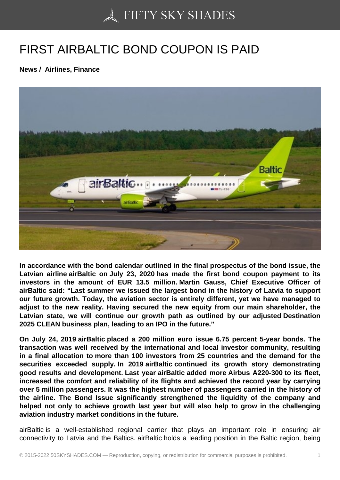## [FIRST AIRBALTIC BO](https://50skyshades.com)ND COUPON IS PAID

News / Airlines, Finance

In accordance with the bond calendar outlined in the final prospectus of the bond issue, the Latvian airline airBaltic on July 23, 2020 has made the first bond coupon payment to its investors in the amount of EUR 13.5 million. Martin Gauss, Chief Executive Officer of airBaltic said: "Last summer we issued the largest bond in the history of Latvia to support our future growth. Today, the aviation sector is entirely different, yet we have managed to adjust to the new reality. Having secured the new equity from our main shareholder, the Latvian state, we will continue our growth path as outlined by our adjusted Destination 2025 CLEAN business plan, leading to an IPO in the future."

On July 24, 2019 airBaltic placed a 200 million euro issue 6.75 percent 5-year bonds. The transaction was well received by the international and local investor community, resulting in a final allocation to more than 100 investors from 25 countries and the demand for the securities exceeded supply. In 2019 airBaltic continued its growth story demonstrating good results and development. Last year airBaltic added more Airbus A220-300 to its fleet, increased the comfort and reliability of its flights and achieved the record year by carrying over 5 million passengers. It was the highest number of passengers carried in the history of the airline. The Bond Issue significantly strengthened the liquidity of the company and helped not only to achieve growth last year but will also help to grow in the challenging aviation industry market conditions in the future.

airBaltic is a well-established regional carrier that plays an important role in ensuring air connectivity to Latvia and the Baltics. airBaltic holds a leading position in the Baltic region, being